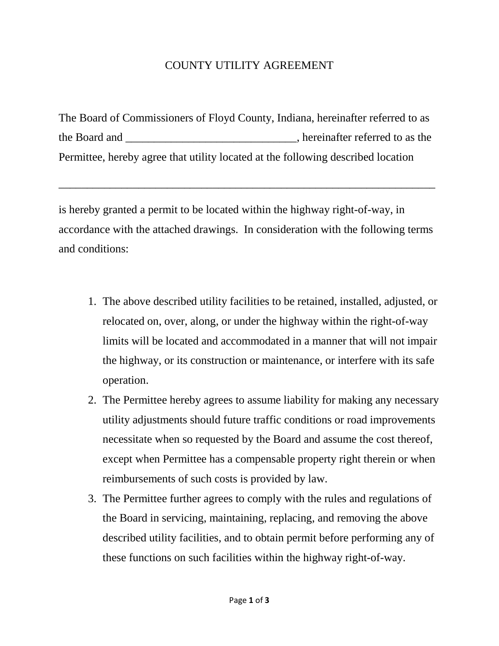## COUNTY UTILITY AGREEMENT

The Board of Commissioners of Floyd County, Indiana, hereinafter referred to as the Board and \_\_\_\_\_\_\_\_\_\_\_\_\_\_\_\_\_\_\_\_\_\_\_\_\_\_\_\_\_, hereinafter referred to as the Permittee, hereby agree that utility located at the following described location

is hereby granted a permit to be located within the highway right-of-way, in accordance with the attached drawings. In consideration with the following terms and conditions:

 $\overline{\phantom{a}}$  , and the contribution of the contribution of the contribution of the contribution of the contribution of the contribution of the contribution of the contribution of the contribution of the contribution of the

- 1. The above described utility facilities to be retained, installed, adjusted, or relocated on, over, along, or under the highway within the right-of-way limits will be located and accommodated in a manner that will not impair the highway, or its construction or maintenance, or interfere with its safe operation.
- 2. The Permittee hereby agrees to assume liability for making any necessary utility adjustments should future traffic conditions or road improvements necessitate when so requested by the Board and assume the cost thereof, except when Permittee has a compensable property right therein or when reimbursements of such costs is provided by law.
- 3. The Permittee further agrees to comply with the rules and regulations of the Board in servicing, maintaining, replacing, and removing the above described utility facilities, and to obtain permit before performing any of these functions on such facilities within the highway right-of-way.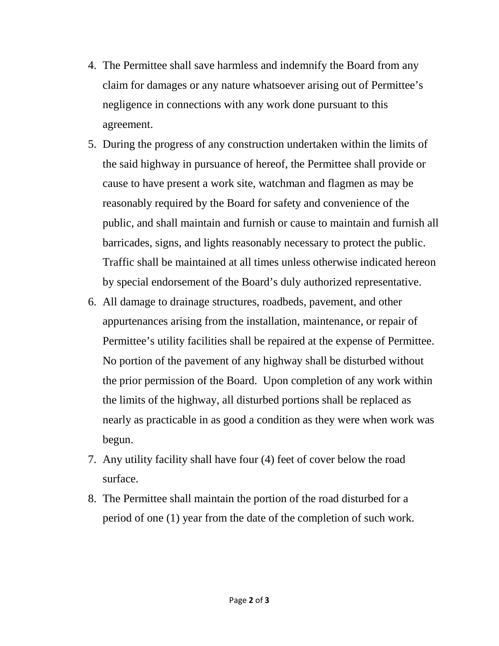- 4. The Permittee shall save harmless and indemnify the Board from any claim for damages or any nature whatsoever arising out of Permittee's negligence in connections with any work done pursuant to this agreement.
- 5. During the progress of any construction undertaken within the limits of the said highway in pursuance of hereof, the Permittee shall provide or cause to have present a work site, watchman and flagmen as may be reasonably required by the Board for safety and convenience of the public, and shall maintain and furnish or cause to maintain and furnish all barricades, signs, and lights reasonably necessary to protect the public. Traffic shall be maintained at all times unless otherwise indicated hereon by special endorsement of the Board's duly authorized representative.
- 6. All damage to drainage structures, roadbeds, pavement, and other appurtenances arising from the installation, maintenance, or repair of Permittee's utility facilities shall be repaired at the expense of Permittee. No portion of the pavement of any highway shall be disturbed without the prior permission of the Board. Upon completion of any work within the limits of the highway, all disturbed portions shall be replaced as nearly as practicable in as good a condition as they were when work was begun.
- 7. Any utility facility shall have four (4) feet of cover below the road surface.
- 8. The Permittee shall maintain the portion of the road disturbed for a period of one (1) year from the date of the completion of such work.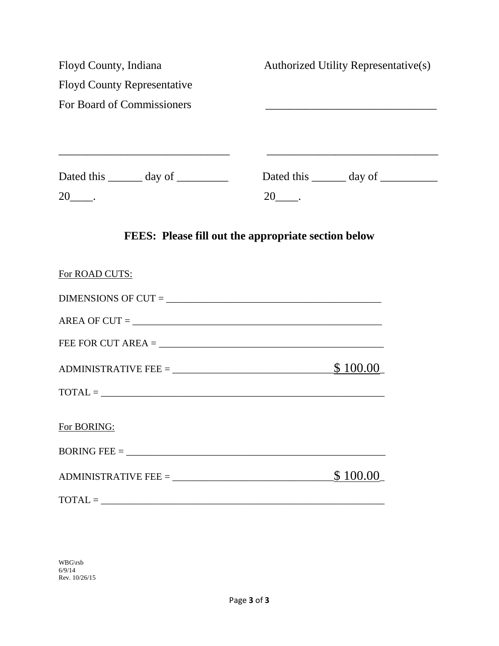| Floyd County, Indiana                               | Authorized Utility Representative(s)                |
|-----------------------------------------------------|-----------------------------------------------------|
| <b>Floyd County Representative</b>                  |                                                     |
| For Board of Commissioners                          |                                                     |
| Dated this $\_\_\_\_\_$ day of $\_\_\_\_\_\_\_\_\_$ | $20$ <sub>--</sub>                                  |
|                                                     | FEES: Please fill out the appropriate section below |
| For ROAD CUTS:                                      |                                                     |
|                                                     |                                                     |
| $AREA OF CUT =$                                     |                                                     |
| FEE FOR CUT AREA = $\sqrt{ }$                       |                                                     |
|                                                     | <u>\$100.00</u>                                     |
|                                                     |                                                     |
| For BORING:                                         |                                                     |
| BORING FEE = $\_$                                   |                                                     |
|                                                     | \$100.00                                            |
| $\text{TOTAL} = \_$                                 |                                                     |

WBG\rsb 6/9/14 Rev. 10/26/15